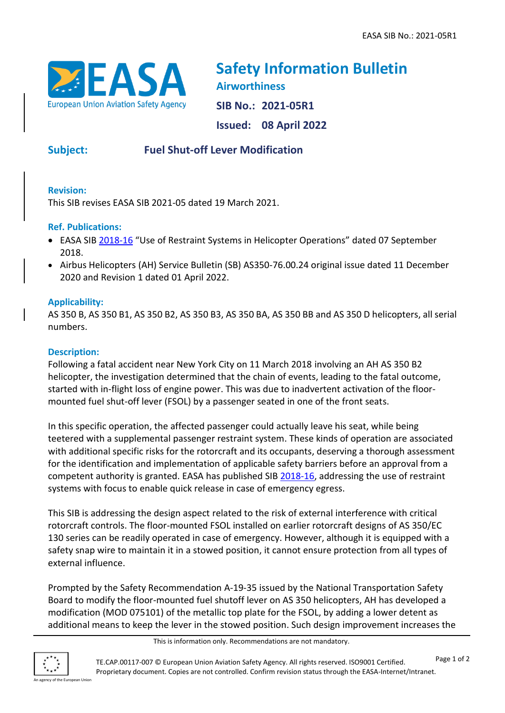

**Safety Information Bulletin Airworthiness SIB No.: 2021-05R1 Issued: 08 April 2022**

# **Subject: Fuel Shut-off Lever Modification**

### **Revision:**

This SIB revises EASA SIB 2021-05 dated 19 March 2021.

### **Ref. Publications:**

- EASA SIB [2018-16](https://ad.easa.europa.eu/ad/2018-16) "Use of Restraint Systems in Helicopter Operations" dated 07 September 2018.
- Airbus Helicopters (AH) Service Bulletin (SB) AS350-76.00.24 original issue dated 11 December 2020 and Revision 1 dated 01 April 2022.

## **Applicability:**

AS 350 B, AS 350 B1, AS 350 B2, AS 350 B3, AS 350 BA, AS 350 BB and AS 350 D helicopters, all serial numbers.

### **Description:**

Following a fatal accident near New York City on 11 March 2018 involving an AH AS 350 B2 helicopter, the investigation determined that the chain of events, leading to the fatal outcome, started with in-flight loss of engine power. This was due to inadvertent activation of the floormounted fuel shut-off lever (FSOL) by a passenger seated in one of the front seats.

In this specific operation, the affected passenger could actually leave his seat, while being teetered with a supplemental passenger restraint system. These kinds of operation are associated with additional specific risks for the rotorcraft and its occupants, deserving a thorough assessment for the identification and implementation of applicable safety barriers before an approval from a competent authority is granted. EASA has published SIB [2018-16,](https://ad.easa.europa.eu/ad/2018-16) addressing the use of restraint systems with focus to enable quick release in case of emergency egress.

This SIB is addressing the design aspect related to the risk of external interference with critical rotorcraft controls. The floor-mounted FSOL installed on earlier rotorcraft designs of AS 350/EC 130 series can be readily operated in case of emergency. However, although it is equipped with a safety snap wire to maintain it in a stowed position, it cannot ensure protection from all types of external influence.

Prompted by the Safety Recommendation A-19-35 issued by the National Transportation Safety Board to modify the floor-mounted fuel shutoff lever on AS 350 helicopters, AH has developed a modification (MOD 075101) of the metallic top plate for the FSOL, by adding a lower detent as additional means to keep the lever in the stowed position. Such design improvement increases the